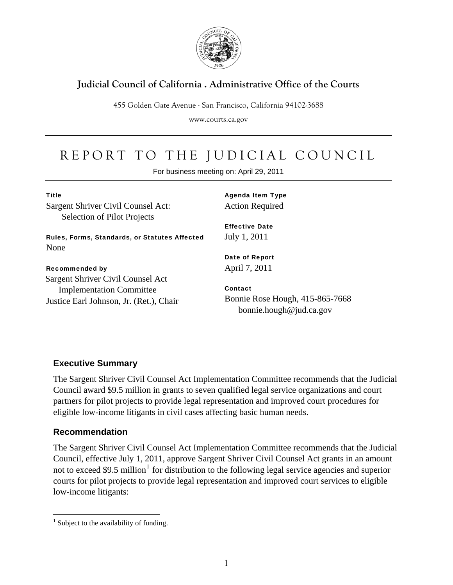

# **Judicial Council of California . Administrative Office of the Courts**

455 Golden Gate Avenue . San Francisco, California 94102-3688

www.courts.ca.gov

# REPORT TO THE JUDICIAL COUNCIL

For business meeting on: April 29, 2011

| <b>Title</b>                                  | <b>Agenda Item Ty</b> |
|-----------------------------------------------|-----------------------|
| Sargent Shriver Civil Counsel Act:            | <b>Action Require</b> |
| Selection of Pilot Projects                   |                       |
|                                               | <b>Effective Date</b> |
| Rules, Forms, Standards, or Statutes Affected | July 1, 2011          |
| None                                          |                       |
|                                               | Date of Report        |
| <b>Recommended by</b>                         | April 7, 2011         |
| Sargent Shriver Civil Counsel Act             |                       |
| <b>Implementation Committee</b>               | Contact               |
| Justice Earl Johnson, Jr. (Ret.), Chair       | <b>Bonnie Rose H</b>  |

pe Action Required

Bonnie Rose Hough, 415-865-7668 bonnie.hough@jud.ca.gov

#### **Executive Summary**

The Sargent Shriver Civil Counsel Act Implementation Committee recommends that the Judicial Council award \$9.5 million in grants to seven qualified legal service organizations and court partners for pilot projects to provide legal representation and improved court procedures for eligible low-income litigants in civil cases affecting basic human needs.

## **Recommendation**

 $\overline{a}$ 

The Sargent Shriver Civil Counsel Act Implementation Committee recommends that the Judicial Council, effective July 1, 2011, approve Sargent Shriver Civil Counsel Act grants in an amount not to exceed \$9.5 million<sup>[1](#page-0-0)</sup> for distribution to the following legal service agencies and superior courts for pilot projects to provide legal representation and improved court services to eligible low-income litigants:

<span id="page-0-0"></span> $<sup>1</sup>$  Subject to the availability of funding.</sup>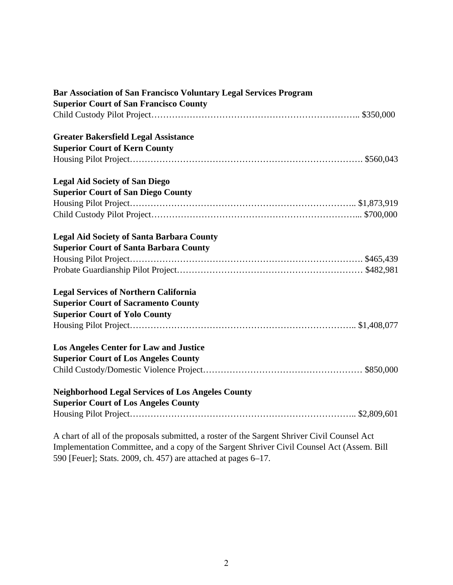| <b>Bar Association of San Francisco Voluntary Legal Services Program</b>                     |  |
|----------------------------------------------------------------------------------------------|--|
| <b>Superior Court of San Francisco County</b>                                                |  |
|                                                                                              |  |
| <b>Greater Bakersfield Legal Assistance</b>                                                  |  |
| <b>Superior Court of Kern County</b>                                                         |  |
|                                                                                              |  |
| <b>Legal Aid Society of San Diego</b>                                                        |  |
| <b>Superior Court of San Diego County</b>                                                    |  |
|                                                                                              |  |
|                                                                                              |  |
| <b>Legal Aid Society of Santa Barbara County</b>                                             |  |
| <b>Superior Court of Santa Barbara County</b>                                                |  |
|                                                                                              |  |
|                                                                                              |  |
| <b>Legal Services of Northern California</b>                                                 |  |
| <b>Superior Court of Sacramento County</b>                                                   |  |
| <b>Superior Court of Yolo County</b>                                                         |  |
|                                                                                              |  |
| <b>Los Angeles Center for Law and Justice</b>                                                |  |
| <b>Superior Court of Los Angeles County</b>                                                  |  |
|                                                                                              |  |
| <b>Neighborhood Legal Services of Los Angeles County</b>                                     |  |
| <b>Superior Court of Los Angeles County</b>                                                  |  |
|                                                                                              |  |
| A chart of all of the proposals submitted, a roster of the Sargent Shriver Civil Counsel Act |  |

Implementation Committee, and a copy of the Sargent Shriver Civil Counsel Act (Assem. Bill 590 [Feuer]; Stats. 2009, ch. 457) are attached at pages 6–17.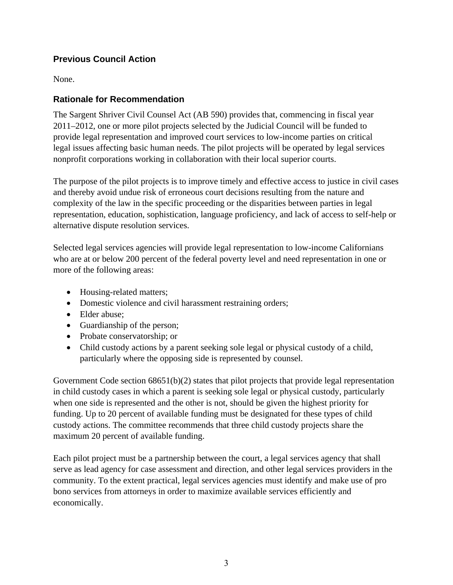## **Previous Council Action**

None.

## **Rationale for Recommendation**

The Sargent Shriver Civil Counsel Act (AB 590) provides that, commencing in fiscal year 2011–2012, one or more pilot projects selected by the Judicial Council will be funded to provide legal representation and improved court services to low-income parties on critical legal issues affecting basic human needs. The pilot projects will be operated by legal services nonprofit corporations working in collaboration with their local superior courts.

The purpose of the pilot projects is to improve timely and effective access to justice in civil cases and thereby avoid undue risk of erroneous court decisions resulting from the nature and complexity of the law in the specific proceeding or the disparities between parties in legal representation, education, sophistication, language proficiency, and lack of access to self-help or alternative dispute resolution services.

Selected legal services agencies will provide legal representation to low-income Californians who are at or below 200 percent of the federal poverty level and need representation in one or more of the following areas:

- Housing-related matters;
- Domestic violence and civil harassment restraining orders;
- Elder abuse;
- Guardianship of the person;
- Probate conservatorship; or
- Child custody actions by a parent seeking sole legal or physical custody of a child, particularly where the opposing side is represented by counsel.

Government Code section 68651(b)(2) states that pilot projects that provide legal representation in child custody cases in which a parent is seeking sole legal or physical custody, particularly when one side is represented and the other is not, should be given the highest priority for funding. Up to 20 percent of available funding must be designated for these types of child custody actions. The committee recommends that three child custody projects share the maximum 20 percent of available funding.

Each pilot project must be a partnership between the court, a legal services agency that shall serve as lead agency for case assessment and direction, and other legal services providers in the community. To the extent practical, legal services agencies must identify and make use of pro bono services from attorneys in order to maximize available services efficiently and economically.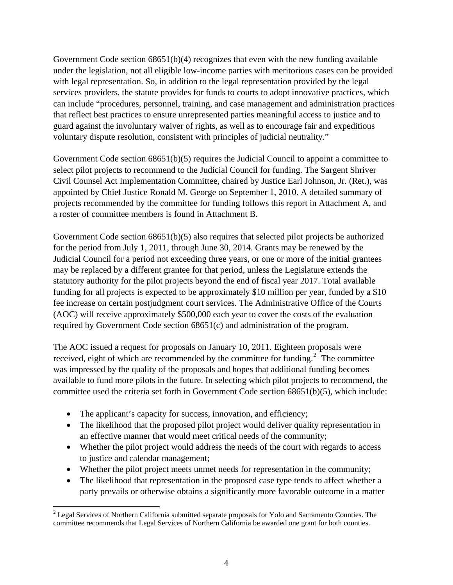Government Code section 68651(b)(4) recognizes that even with the new funding available under the legislation, not all eligible low-income parties with meritorious cases can be provided with legal representation. So, in addition to the legal representation provided by the legal services providers, the statute provides for funds to courts to adopt innovative practices, which can include "procedures, personnel, training, and case management and administration practices that reflect best practices to ensure unrepresented parties meaningful access to justice and to guard against the involuntary waiver of rights, as well as to encourage fair and expeditious voluntary dispute resolution, consistent with principles of judicial neutrality."

Government Code section 68651(b)(5) requires the Judicial Council to appoint a committee to select pilot projects to recommend to the Judicial Council for funding. The Sargent Shriver Civil Counsel Act Implementation Committee, chaired by Justice Earl Johnson, Jr. (Ret.), was appointed by Chief Justice Ronald M. George on September 1, 2010. A detailed summary of projects recommended by the committee for funding follows this report in Attachment A, and a roster of committee members is found in Attachment B.

Government Code section 68651(b)(5) also requires that selected pilot projects be authorized for the period from July 1, 2011, through June 30, 2014. Grants may be renewed by the Judicial Council for a period not exceeding three years, or one or more of the initial grantees may be replaced by a different grantee for that period, unless the Legislature extends the statutory authority for the pilot projects beyond the end of fiscal year 2017. Total available funding for all projects is expected to be approximately \$10 million per year, funded by a \$10 fee increase on certain postjudgment court services. The Administrative Office of the Courts (AOC) will receive approximately \$500,000 each year to cover the costs of the evaluation required by Government Code section 68651(c) and administration of the program.

The AOC issued a request for proposals on January 10, 2011. Eighteen proposals were received, eight of which are recommended by the committee for funding.<sup>[2](#page-3-0)</sup> The committee was impressed by the quality of the proposals and hopes that additional funding becomes available to fund more pilots in the future. In selecting which pilot projects to recommend, the committee used the criteria set forth in Government Code section 68651(b)(5), which include:

• The applicant's capacity for success, innovation, and efficiency;

 $\overline{a}$ 

- The likelihood that the proposed pilot project would deliver quality representation in an effective manner that would meet critical needs of the community;
- Whether the pilot project would address the needs of the court with regards to access to justice and calendar management;
- Whether the pilot project meets unmet needs for representation in the community;
- The likelihood that representation in the proposed case type tends to affect whether a party prevails or otherwise obtains a significantly more favorable outcome in a matter

<span id="page-3-0"></span> $2^{2}$  Legal Services of Northern California submitted separate proposals for Yolo and Sacramento Counties. The committee recommends that Legal Services of Northern California be awarded one grant for both counties.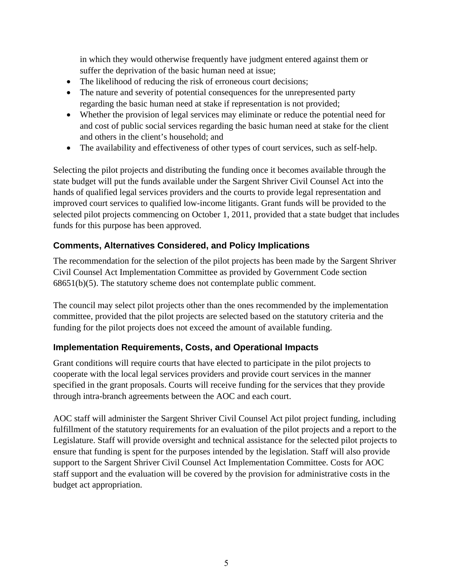in which they would otherwise frequently have judgment entered against them or suffer the deprivation of the basic human need at issue;

- The likelihood of reducing the risk of erroneous court decisions;
- The nature and severity of potential consequences for the unrepresented party regarding the basic human need at stake if representation is not provided;
- Whether the provision of legal services may eliminate or reduce the potential need for and cost of public social services regarding the basic human need at stake for the client and others in the client's household; and
- The availability and effectiveness of other types of court services, such as self-help.

Selecting the pilot projects and distributing the funding once it becomes available through the state budget will put the funds available under the Sargent Shriver Civil Counsel Act into the hands of qualified legal services providers and the courts to provide legal representation and improved court services to qualified low-income litigants. Grant funds will be provided to the selected pilot projects commencing on October 1, 2011, provided that a state budget that includes funds for this purpose has been approved.

## **Comments, Alternatives Considered, and Policy Implications**

The recommendation for the selection of the pilot projects has been made by the Sargent Shriver Civil Counsel Act Implementation Committee as provided by Government Code section 68651(b)(5). The statutory scheme does not contemplate public comment.

The council may select pilot projects other than the ones recommended by the implementation committee, provided that the pilot projects are selected based on the statutory criteria and the funding for the pilot projects does not exceed the amount of available funding.

# **Implementation Requirements, Costs, and Operational Impacts**

Grant conditions will require courts that have elected to participate in the pilot projects to cooperate with the local legal services providers and provide court services in the manner specified in the grant proposals. Courts will receive funding for the services that they provide through intra-branch agreements between the AOC and each court.

AOC staff will administer the Sargent Shriver Civil Counsel Act pilot project funding, including fulfillment of the statutory requirements for an evaluation of the pilot projects and a report to the Legislature. Staff will provide oversight and technical assistance for the selected pilot projects to ensure that funding is spent for the purposes intended by the legislation. Staff will also provide support to the Sargent Shriver Civil Counsel Act Implementation Committee. Costs for AOC staff support and the evaluation will be covered by the provision for administrative costs in the budget act appropriation.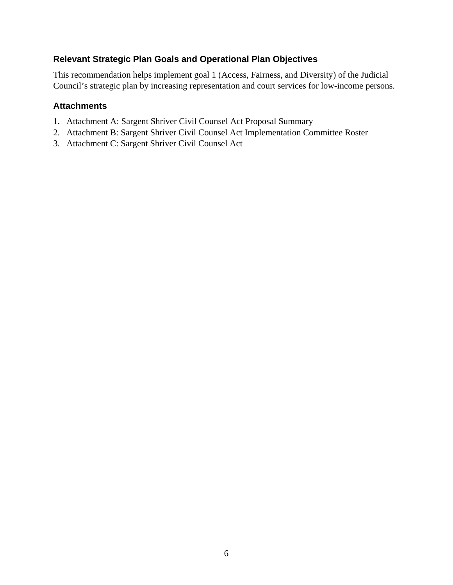## **Relevant Strategic Plan Goals and Operational Plan Objectives**

This recommendation helps implement goal 1 (Access, Fairness, and Diversity) of the Judicial Council's strategic plan by increasing representation and court services for low-income persons.

#### **Attachments**

- 1. Attachment A: Sargent Shriver Civil Counsel Act Proposal Summary
- 2. Attachment B: Sargent Shriver Civil Counsel Act Implementation Committee Roster
- 3. Attachment C: Sargent Shriver Civil Counsel Act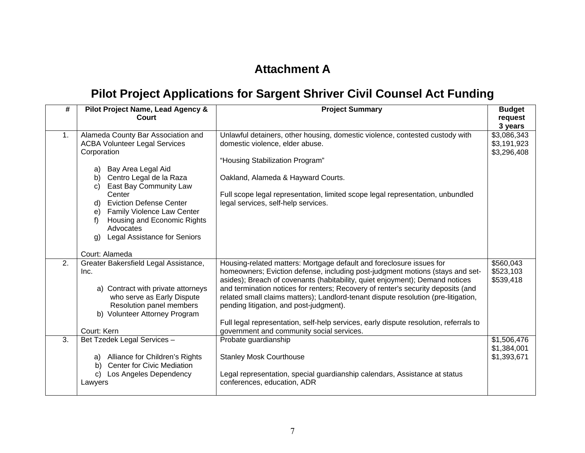# **Attachment A**

# **Pilot Project Applications for Sargent Shriver Civil Counsel Act Funding**

| #              | Pilot Project Name, Lead Agency &<br>Court                                                                                                                                                                                                                                                                                                                                 | <b>Project Summary</b>                                                                                                                                                                                                                                                                                                                                                                                                                                     | <b>Budget</b><br>request                             |
|----------------|----------------------------------------------------------------------------------------------------------------------------------------------------------------------------------------------------------------------------------------------------------------------------------------------------------------------------------------------------------------------------|------------------------------------------------------------------------------------------------------------------------------------------------------------------------------------------------------------------------------------------------------------------------------------------------------------------------------------------------------------------------------------------------------------------------------------------------------------|------------------------------------------------------|
| $\mathbf{1}$ . | Alameda County Bar Association and<br><b>ACBA Volunteer Legal Services</b><br>Corporation<br>Bay Area Legal Aid<br>a)<br>Centro Legal de la Raza<br>b)<br>East Bay Community Law<br>C)<br>Center<br><b>Eviction Defense Center</b><br>d)<br>Family Violence Law Center<br>e)<br>f<br>Housing and Economic Rights<br>Advocates<br><b>Legal Assistance for Seniors</b><br>g) | Unlawful detainers, other housing, domestic violence, contested custody with<br>domestic violence, elder abuse.<br>"Housing Stabilization Program"<br>Oakland, Alameda & Hayward Courts.<br>Full scope legal representation, limited scope legal representation, unbundled<br>legal services, self-help services.                                                                                                                                          | 3 years<br>\$3,086,343<br>\$3,191,923<br>\$3,296,408 |
|                | Court: Alameda                                                                                                                                                                                                                                                                                                                                                             |                                                                                                                                                                                                                                                                                                                                                                                                                                                            |                                                      |
| 2.             | Greater Bakersfield Legal Assistance,<br>Inc.<br>a) Contract with private attorneys<br>who serve as Early Dispute<br>Resolution panel members<br>b) Volunteer Attorney Program                                                                                                                                                                                             | Housing-related matters: Mortgage default and foreclosure issues for<br>homeowners; Eviction defense, including post-judgment motions (stays and set-<br>asides); Breach of covenants (habitability, quiet enjoyment); Demand notices<br>and termination notices for renters; Recovery of renter's security deposits (and<br>related small claims matters); Landlord-tenant dispute resolution (pre-litigation,<br>pending litigation, and post-judgment). | \$560,043<br>\$523,103<br>\$539,418                  |
|                | Court: Kern                                                                                                                                                                                                                                                                                                                                                                | Full legal representation, self-help services, early dispute resolution, referrals to<br>government and community social services.                                                                                                                                                                                                                                                                                                                         |                                                      |
| 3.             | Bet Tzedek Legal Services -<br>Alliance for Children's Rights<br>a)                                                                                                                                                                                                                                                                                                        | Probate guardianship<br><b>Stanley Mosk Courthouse</b>                                                                                                                                                                                                                                                                                                                                                                                                     | \$1,506,476<br>\$1,384,001<br>\$1,393,671            |
|                | <b>Center for Civic Mediation</b><br>b)<br>Los Angeles Dependency<br>C)<br>Lawyers                                                                                                                                                                                                                                                                                         | Legal representation, special guardianship calendars, Assistance at status<br>conferences, education, ADR                                                                                                                                                                                                                                                                                                                                                  |                                                      |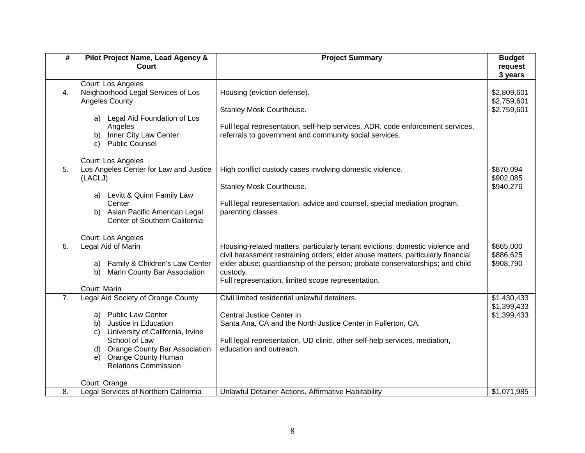| #  | Pilot Project Name, Lead Agency &<br><b>Court</b>     | <b>Project Summary</b>                                                                                                                   | <b>Budget</b><br>request |
|----|-------------------------------------------------------|------------------------------------------------------------------------------------------------------------------------------------------|--------------------------|
|    |                                                       |                                                                                                                                          | 3 years                  |
|    | Court: Los Angeles                                    |                                                                                                                                          |                          |
| 4. | Neighborhood Legal Services of Los                    | Housing (eviction defense).                                                                                                              | \$2,809,601              |
|    | Angeles County                                        |                                                                                                                                          | \$2,759,601              |
|    |                                                       | Stanley Mosk Courthouse.                                                                                                                 | \$2,759,601              |
|    | Legal Aid Foundation of Los<br>a)                     |                                                                                                                                          |                          |
|    | Angeles<br>Inner City Law Center<br>b)                | Full legal representation, self-help services, ADR, code enforcement services,<br>referrals to government and community social services. |                          |
|    | <b>Public Counsel</b><br>$\mathbf{C}$                 |                                                                                                                                          |                          |
|    |                                                       |                                                                                                                                          |                          |
|    | Court: Los Angeles                                    |                                                                                                                                          |                          |
| 5. | Los Angeles Center for Law and Justice                | High conflict custody cases involving domestic violence.                                                                                 | \$870,094                |
|    | (LACLJ)                                               |                                                                                                                                          | \$902,085                |
|    |                                                       | Stanley Mosk Courthouse.                                                                                                                 | \$940,276                |
|    | a) Levitt & Quinn Family Law<br>Center                |                                                                                                                                          |                          |
|    | Asian Pacific American Legal<br>b)                    | Full legal representation, advice and counsel, special mediation program,<br>parenting classes.                                          |                          |
|    | Center of Southern California                         |                                                                                                                                          |                          |
|    |                                                       |                                                                                                                                          |                          |
|    | Court: Los Angeles                                    |                                                                                                                                          |                          |
| 6. | Legal Aid of Marin                                    | Housing-related matters, particularly tenant evictions; domestic violence and                                                            | \$865,000                |
|    |                                                       | civil harassment restraining orders; elder abuse matters, particularly financial                                                         | \$886,625                |
|    | a) Family & Children's Law Center                     | elder abuse; guardianship of the person; probate conservatorships; and child                                                             | \$908,790                |
|    | Marin County Bar Association<br>b)                    | custody.<br>Full representation, limited scope representation.                                                                           |                          |
|    | Court: Marin                                          |                                                                                                                                          |                          |
| 7. | Legal Aid Society of Orange County                    | Civil limited residential unlawful detainers.                                                                                            | \$1,430,433              |
|    |                                                       |                                                                                                                                          | \$1,399,433              |
|    | a) Public Law Center                                  | Central Justice Center in                                                                                                                | \$1,399,433              |
|    | Justice in Education<br>b)                            | Santa Ana, CA and the North Justice Center in Fullerton, CA.                                                                             |                          |
|    | University of California, Irvine<br>C)                |                                                                                                                                          |                          |
|    | School of Law<br><b>Orange County Bar Association</b> | Full legal representation, UD clinic, other self-help services, mediation,<br>education and outreach.                                    |                          |
|    | d)<br>Orange County Human<br>e)                       |                                                                                                                                          |                          |
|    | <b>Relations Commission</b>                           |                                                                                                                                          |                          |
|    |                                                       |                                                                                                                                          |                          |
|    | Court: Orange                                         |                                                                                                                                          |                          |
| 8. | Legal Services of Northern California                 | Unlawful Detainer Actions, Affirmative Habitability                                                                                      | \$1,071,985              |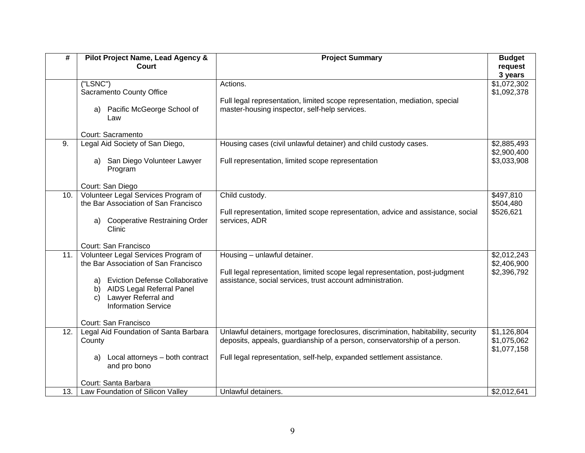| #    | Pilot Project Name, Lead Agency &<br><b>Court</b>                                                                                                                                                                        | <b>Project Summary</b>                                                                                                                                                                                                                  | <b>Budget</b>                             |
|------|--------------------------------------------------------------------------------------------------------------------------------------------------------------------------------------------------------------------------|-----------------------------------------------------------------------------------------------------------------------------------------------------------------------------------------------------------------------------------------|-------------------------------------------|
|      |                                                                                                                                                                                                                          |                                                                                                                                                                                                                                         | request<br>3 years                        |
|      | (TLSNC")<br>Sacramento County Office<br>Pacific McGeorge School of<br>a)<br>Law                                                                                                                                          | Actions.<br>Full legal representation, limited scope representation, mediation, special<br>master-housing inspector, self-help services.                                                                                                | \$1,072,302<br>\$1,092,378                |
|      | Court: Sacramento                                                                                                                                                                                                        |                                                                                                                                                                                                                                         |                                           |
| 9.   | Legal Aid Society of San Diego,<br>San Diego Volunteer Lawyer<br>a)<br>Program                                                                                                                                           | Housing cases (civil unlawful detainer) and child custody cases.<br>Full representation, limited scope representation                                                                                                                   | \$2,885,493<br>\$2,900,400<br>\$3,033,908 |
|      | Court: San Diego                                                                                                                                                                                                         |                                                                                                                                                                                                                                         |                                           |
| 10.  | Volunteer Legal Services Program of<br>the Bar Association of San Francisco<br><b>Cooperative Restraining Order</b><br>a)<br>Clinic                                                                                      | Child custody.<br>Full representation, limited scope representation, advice and assistance, social<br>services, ADR                                                                                                                     | \$497,810<br>\$504,480<br>\$526,621       |
|      | Court: San Francisco                                                                                                                                                                                                     |                                                                                                                                                                                                                                         |                                           |
| 11.  | Volunteer Legal Services Program of<br>the Bar Association of San Francisco<br><b>Eviction Defense Collaborative</b><br>a)<br>AIDS Legal Referral Panel<br>b)<br>Lawyer Referral and<br>C)<br><b>Information Service</b> | Housing - unlawful detainer.<br>Full legal representation, limited scope legal representation, post-judgment<br>assistance, social services, trust account administration.                                                              | \$2,012,243<br>\$2,406,900<br>\$2,396,792 |
|      | Court: San Francisco                                                                                                                                                                                                     |                                                                                                                                                                                                                                         |                                           |
| 12.  | Legal Aid Foundation of Santa Barbara<br>County<br>Local attorneys - both contract<br>a)<br>and pro bono                                                                                                                 | Unlawful detainers, mortgage foreclosures, discrimination, habitability, security<br>deposits, appeals, guardianship of a person, conservatorship of a person.<br>Full legal representation, self-help, expanded settlement assistance. | \$1,126,804<br>\$1,075,062<br>\$1,077,158 |
|      | Court: Santa Barbara                                                                                                                                                                                                     |                                                                                                                                                                                                                                         |                                           |
| 13.1 | Law Foundation of Silicon Valley                                                                                                                                                                                         | Unlawful detainers.                                                                                                                                                                                                                     | \$2,012,641                               |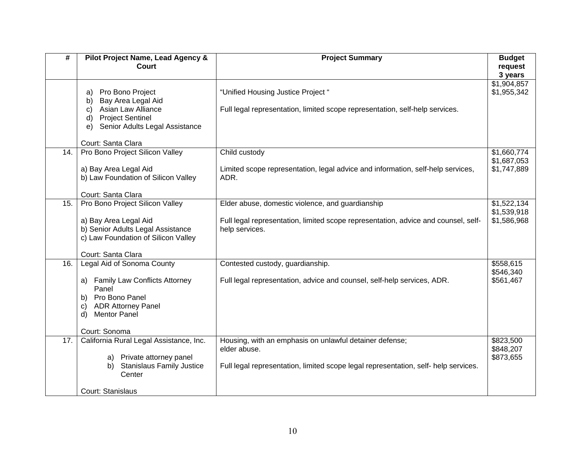| #   | Pilot Project Name, Lead Agency &                                        | <b>Project Summary</b>                                                              | <b>Budget</b>              |
|-----|--------------------------------------------------------------------------|-------------------------------------------------------------------------------------|----------------------------|
|     | <b>Court</b>                                                             |                                                                                     | request<br>3 years         |
|     |                                                                          |                                                                                     | \$1,904,857                |
|     | Pro Bono Project<br>a)                                                   | "Unified Housing Justice Project"                                                   | \$1,955,342                |
|     | Bay Area Legal Aid<br>b)<br><b>Asian Law Alliance</b>                    |                                                                                     |                            |
|     | $\mathbf{C}$<br><b>Project Sentinel</b><br>d)                            | Full legal representation, limited scope representation, self-help services.        |                            |
|     | Senior Adults Legal Assistance<br>e)                                     |                                                                                     |                            |
|     |                                                                          |                                                                                     |                            |
|     | Court: Santa Clara                                                       |                                                                                     |                            |
| 14. | Pro Bono Project Silicon Valley                                          | Child custody                                                                       | \$1,660,774<br>\$1,687,053 |
|     | a) Bay Area Legal Aid                                                    | Limited scope representation, legal advice and information, self-help services,     | \$1,747,889                |
|     | b) Law Foundation of Silicon Valley                                      | ADR.                                                                                |                            |
|     | Court: Santa Clara                                                       |                                                                                     |                            |
| 15. | Pro Bono Project Silicon Valley                                          | Elder abuse, domestic violence, and guardianship                                    | \$1,522,134                |
|     |                                                                          |                                                                                     | \$1,539,918                |
|     | a) Bay Area Legal Aid                                                    | Full legal representation, limited scope representation, advice and counsel, self-  | \$1,586,968                |
|     | b) Senior Adults Legal Assistance<br>c) Law Foundation of Silicon Valley | help services.                                                                      |                            |
|     |                                                                          |                                                                                     |                            |
|     | Court: Santa Clara                                                       |                                                                                     |                            |
| 16. | Legal Aid of Sonoma County                                               | Contested custody, guardianship.                                                    | \$558,615                  |
|     | a) Family Law Conflicts Attorney                                         | Full legal representation, advice and counsel, self-help services, ADR.             | \$546,340<br>\$561,467     |
|     | Panel                                                                    |                                                                                     |                            |
|     | Pro Bono Panel<br>b)                                                     |                                                                                     |                            |
|     | <b>ADR Attorney Panel</b><br>C)                                          |                                                                                     |                            |
|     | <b>Mentor Panel</b><br>d)                                                |                                                                                     |                            |
|     | Court: Sonoma                                                            |                                                                                     |                            |
| 17. | California Rural Legal Assistance, Inc.                                  | Housing, with an emphasis on unlawful detainer defense;                             | \$823,500                  |
|     |                                                                          | elder abuse.                                                                        | \$848,207<br>\$873,655     |
|     | Private attorney panel<br>a)<br><b>Stanislaus Family Justice</b><br>b)   | Full legal representation, limited scope legal representation, self- help services. |                            |
|     | Center                                                                   |                                                                                     |                            |
|     |                                                                          |                                                                                     |                            |
|     | Court: Stanislaus                                                        |                                                                                     |                            |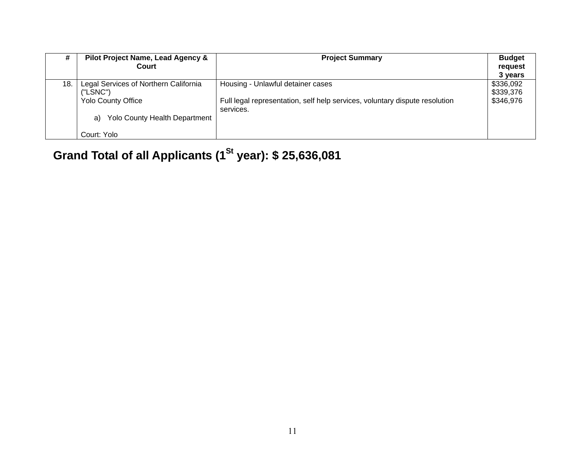| Pilot Project Name, Lead Agency &<br>#<br>Court                                                                                                    | <b>Project Summary</b>                                                                                                        | <b>Budget</b><br>request<br>3 years |
|----------------------------------------------------------------------------------------------------------------------------------------------------|-------------------------------------------------------------------------------------------------------------------------------|-------------------------------------|
| Legal Services of Northern California<br>18.<br>('LSMC")<br><b>Yolo County Office</b><br><b>Yolo County Health Department</b><br>a)<br>Court: Yolo | Housing - Unlawful detainer cases<br>Full legal representation, self help services, voluntary dispute resolution<br>services. | \$336,092<br>\$339,376<br>\$346,976 |

# **Grand Total of all Applicants (1St year): \$ 25,636,081**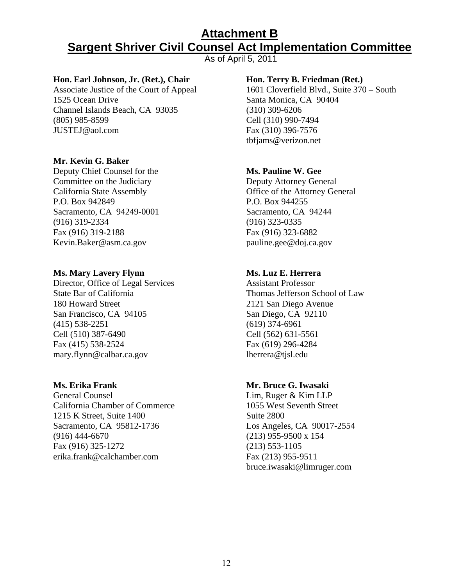# **Attachment B Sargent Shriver Civil Counsel Act Implementation Committee**

As of April 5, 2011

#### **Hon. Earl Johnson, Jr. (Ret.), Chair**

Associate Justice of the Court of Appeal 1525 Ocean Drive Channel Islands Beach, CA 93035 (805) 985-8599 JUSTEJ@aol.com

#### **Mr. Kevin G. Baker**

Deputy Chief Counsel for the Committee on the Judiciary California State Assembly P.O. Box 942849 Sacramento, CA 94249-0001 (916) 319-2334 Fax (916) 319-2188 Kevin.Baker@asm.ca.gov

#### **Ms. Mary Lavery Flynn**

Director, Office of Legal Services State Bar of California 180 Howard Street San Francisco, CA 94105 (415) 538-2251 Cell (510) 387-6490 Fax (415) 538-2524 mary.flynn@calbar.ca.gov

#### **Ms. Erika Frank**

General Counsel California Chamber of Commerce 1215 K Street, Suite 1400 Sacramento, CA 95812-1736 (916) 444-6670 Fax (916) 325-1272 erika.frank@calchamber.com

#### **Hon. Terry B. Friedman (Ret.)**

1601 Cloverfield Blvd., Suite 370 – South Santa Monica, CA 90404 (310) 309-6206 Cell (310) 990-7494 Fax (310) 396-7576 tbfjams@verizon.net

#### **Ms. Pauline W. Gee**

Deputy Attorney General Office of the Attorney General P.O. Box 944255 Sacramento, CA 94244 (916) 323-0335 Fax (916) 323-6882 pauline.gee@doj.ca.gov

#### **Ms. Luz E. Herrera**

Assistant Professor Thomas Jefferson School of Law 2121 San Diego Avenue San Diego, CA 92110 (619) 374-6961 Cell (562) 631-5561 Fax (619) 296-4284 lherrera@tjsl.edu

#### **Mr. Bruce G. Iwasaki**

Lim, Ruger & Kim LLP 1055 West Seventh Street Suite 2800 Los Angeles, CA 90017-2554 (213) 955-9500 x 154 (213) 553-1105 Fax (213) 955-9511 bruce.iwasaki@limruger.com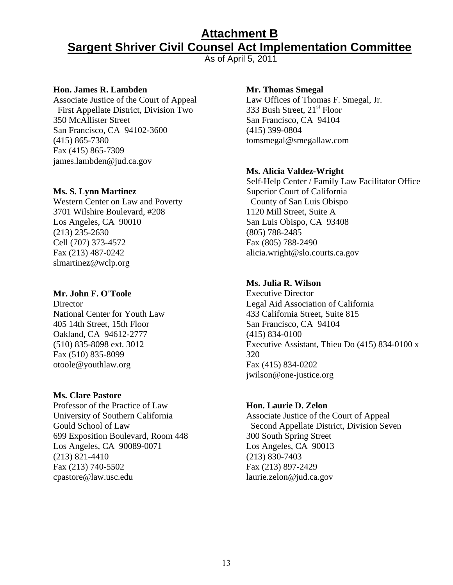# **Attachment B Sargent Shriver Civil Counsel Act Implementation Committee**

As of April 5, 2011

#### **Hon. James R. Lambden**

Associate Justice of the Court of Appeal First Appellate District, Division Two 350 McAllister Street San Francisco, CA 94102-3600 (415) 865-7380 Fax (415) 865-7309 james.lambden@jud.ca.gov

#### **Ms. S. Lynn Martinez**

Western Center on Law and Poverty 3701 Wilshire Boulevard, #208 Los Angeles, CA 90010 (213) 235-2630 Cell (707) 373-4572 Fax (213) 487-0242 slmartinez@wclp.org

#### **Mr. John F. O'Toole**

**Director** National Center for Youth Law 405 14th Street, 15th Floor Oakland, CA 94612-2777 (510) 835-8098 ext. 3012 Fax (510) 835-8099 otoole@youthlaw.org

#### **Ms. Clare Pastore**

Professor of the Practice of Law University of Southern California Gould School of Law 699 Exposition Boulevard, Room 448 Los Angeles, CA 90089-0071 (213) 821-4410 Fax (213) 740-5502 cpastore@law.usc.edu

#### **Mr. Thomas Smegal**

Law Offices of Thomas F. Smegal, Jr. 333 Bush Street, 21<sup>st</sup> Floor San Francisco, CA 94104 (415) 399-0804 tomsmegal@smegallaw.com

#### **Ms. Alicia Valdez-Wright**

Self-Help Center / Family Law Facilitator Office Superior Court of California County of San Luis Obispo 1120 Mill Street, Suite A San Luis Obispo, CA 93408 (805) 788-2485 Fax (805) 788-2490 alicia.wright@slo.courts.ca.gov

#### **Ms. Julia R. Wilson**

Executive Director Legal Aid Association of California 433 California Street, Suite 815 San Francisco, CA 94104 (415) 834-0100 Executive Assistant, Thieu Do (415) 834-0100 x 320 Fax (415) 834-0202 jwilson@one-justice.org

#### **Hon. Laurie D. Zelon**

Associate Justice of the Court of Appeal Second Appellate District, Division Seven 300 South Spring Street Los Angeles, CA 90013 (213) 830-7403 Fax (213) 897-2429 laurie.zelon@jud.ca.gov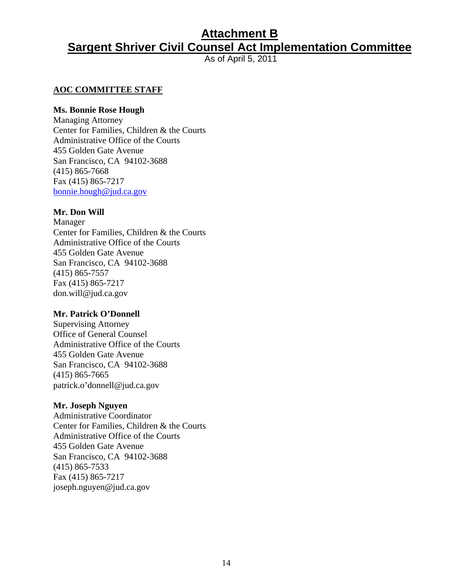# **Attachment B Sargent Shriver Civil Counsel Act Implementation Committee**

As of April 5, 2011

#### **AOC COMMITTEE STAFF**

#### **Ms. Bonnie Rose Hough**

Managing Attorney Center for Families, Children & the Courts Administrative Office of the Courts 455 Golden Gate Avenue San Francisco, CA 94102-3688 (415) 865-7668 Fax (415) 865-7217 [bonnie.hough@jud.ca.gov](mailto:bonnie.hough@jud.ca.gov)

#### **Mr. Don Will**

Manager Center for Families, Children & the Courts Administrative Office of the Courts 455 Golden Gate Avenue San Francisco, CA 94102-3688 (415) 865-7557 Fax (415) 865-7217 don.will@jud.ca.gov

#### **Mr. Patrick O'Donnell**

Supervising Attorney Office of General Counsel Administrative Office of the Courts 455 Golden Gate Avenue San Francisco, CA 94102-3688 (415) 865-7665 patrick.o'donnell@jud.ca.gov

#### **Mr. Joseph Nguyen**

Administrative Coordinator Center for Families, Children & the Courts Administrative Office of the Courts 455 Golden Gate Avenue San Francisco, CA 94102-3688 (415) 865-7533 Fax (415) 865-7217 joseph.nguyen@jud.ca.gov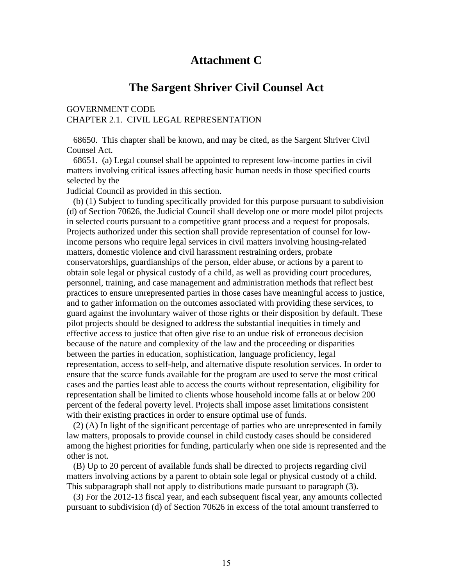# **Attachment C**

# **The Sargent Shriver Civil Counsel Act**

#### GOVERNMENT CODE CHAPTER 2.1. CIVIL LEGAL REPRESENTATION

 68650. This chapter shall be known, and may be cited, as the Sargent Shriver Civil Counsel Act.

 68651. (a) Legal counsel shall be appointed to represent low-income parties in civil matters involving critical issues affecting basic human needs in those specified courts selected by the

Judicial Council as provided in this section.

 (b) (1) Subject to funding specifically provided for this purpose pursuant to subdivision (d) of Section 70626, the Judicial Council shall develop one or more model pilot projects in selected courts pursuant to a competitive grant process and a request for proposals. Projects authorized under this section shall provide representation of counsel for lowincome persons who require legal services in civil matters involving housing-related matters, domestic violence and civil harassment restraining orders, probate conservatorships, guardianships of the person, elder abuse, or actions by a parent to obtain sole legal or physical custody of a child, as well as providing court procedures, personnel, training, and case management and administration methods that reflect best practices to ensure unrepresented parties in those cases have meaningful access to justice, and to gather information on the outcomes associated with providing these services, to guard against the involuntary waiver of those rights or their disposition by default. These pilot projects should be designed to address the substantial inequities in timely and effective access to justice that often give rise to an undue risk of erroneous decision because of the nature and complexity of the law and the proceeding or disparities between the parties in education, sophistication, language proficiency, legal representation, access to self-help, and alternative dispute resolution services. In order to ensure that the scarce funds available for the program are used to serve the most critical cases and the parties least able to access the courts without representation, eligibility for representation shall be limited to clients whose household income falls at or below 200 percent of the federal poverty level. Projects shall impose asset limitations consistent with their existing practices in order to ensure optimal use of funds.

 (2) (A) In light of the significant percentage of parties who are unrepresented in family law matters, proposals to provide counsel in child custody cases should be considered among the highest priorities for funding, particularly when one side is represented and the other is not.

 (B) Up to 20 percent of available funds shall be directed to projects regarding civil matters involving actions by a parent to obtain sole legal or physical custody of a child. This subparagraph shall not apply to distributions made pursuant to paragraph (3).

 (3) For the 2012-13 fiscal year, and each subsequent fiscal year, any amounts collected pursuant to subdivision (d) of Section 70626 in excess of the total amount transferred to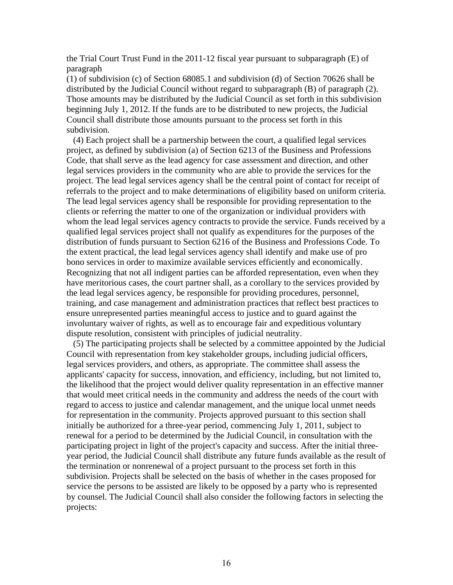the Trial Court Trust Fund in the 2011-12 fiscal year pursuant to subparagraph (E) of paragraph

(1) of subdivision (c) of Section 68085.1 and subdivision (d) of Section 70626 shall be distributed by the Judicial Council without regard to subparagraph (B) of paragraph (2). Those amounts may be distributed by the Judicial Council as set forth in this subdivision beginning July 1, 2012. If the funds are to be distributed to new projects, the Judicial Council shall distribute those amounts pursuant to the process set forth in this subdivision.

 (4) Each project shall be a partnership between the court, a qualified legal services project, as defined by subdivision (a) of Section 6213 of the Business and Professions Code, that shall serve as the lead agency for case assessment and direction, and other legal services providers in the community who are able to provide the services for the project. The lead legal services agency shall be the central point of contact for receipt of referrals to the project and to make determinations of eligibility based on uniform criteria. The lead legal services agency shall be responsible for providing representation to the clients or referring the matter to one of the organization or individual providers with whom the lead legal services agency contracts to provide the service. Funds received by a qualified legal services project shall not qualify as expenditures for the purposes of the distribution of funds pursuant to Section 6216 of the Business and Professions Code. To the extent practical, the lead legal services agency shall identify and make use of pro bono services in order to maximize available services efficiently and economically. Recognizing that not all indigent parties can be afforded representation, even when they have meritorious cases, the court partner shall, as a corollary to the services provided by the lead legal services agency, be responsible for providing procedures, personnel, training, and case management and administration practices that reflect best practices to ensure unrepresented parties meaningful access to justice and to guard against the involuntary waiver of rights, as well as to encourage fair and expeditious voluntary dispute resolution, consistent with principles of judicial neutrality.

 (5) The participating projects shall be selected by a committee appointed by the Judicial Council with representation from key stakeholder groups, including judicial officers, legal services providers, and others, as appropriate. The committee shall assess the applicants' capacity for success, innovation, and efficiency, including, but not limited to, the likelihood that the project would deliver quality representation in an effective manner that would meet critical needs in the community and address the needs of the court with regard to access to justice and calendar management, and the unique local unmet needs for representation in the community. Projects approved pursuant to this section shall initially be authorized for a three-year period, commencing July 1, 2011, subject to renewal for a period to be determined by the Judicial Council, in consultation with the participating project in light of the project's capacity and success. After the initial threeyear period, the Judicial Council shall distribute any future funds available as the result of the termination or nonrenewal of a project pursuant to the process set forth in this subdivision. Projects shall be selected on the basis of whether in the cases proposed for service the persons to be assisted are likely to be opposed by a party who is represented by counsel. The Judicial Council shall also consider the following factors in selecting the projects: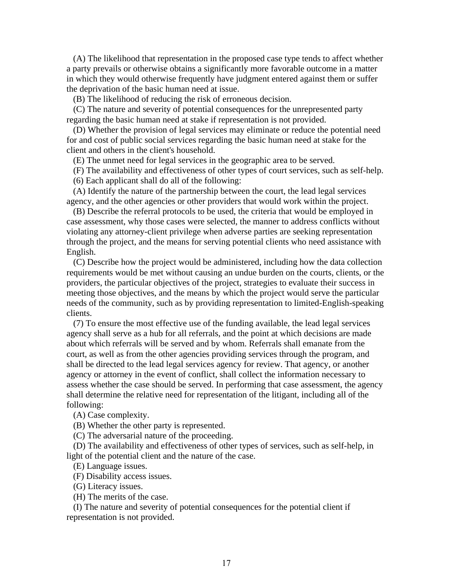(A) The likelihood that representation in the proposed case type tends to affect whether a party prevails or otherwise obtains a significantly more favorable outcome in a matter in which they would otherwise frequently have judgment entered against them or suffer the deprivation of the basic human need at issue.

(B) The likelihood of reducing the risk of erroneous decision.

 (C) The nature and severity of potential consequences for the unrepresented party regarding the basic human need at stake if representation is not provided.

 (D) Whether the provision of legal services may eliminate or reduce the potential need for and cost of public social services regarding the basic human need at stake for the client and others in the client's household.

(E) The unmet need for legal services in the geographic area to be served.

(F) The availability and effectiveness of other types of court services, such as self-help.

(6) Each applicant shall do all of the following:

 (A) Identify the nature of the partnership between the court, the lead legal services agency, and the other agencies or other providers that would work within the project.

 (B) Describe the referral protocols to be used, the criteria that would be employed in case assessment, why those cases were selected, the manner to address conflicts without violating any attorney-client privilege when adverse parties are seeking representation through the project, and the means for serving potential clients who need assistance with English.

 (C) Describe how the project would be administered, including how the data collection requirements would be met without causing an undue burden on the courts, clients, or the providers, the particular objectives of the project, strategies to evaluate their success in meeting those objectives, and the means by which the project would serve the particular needs of the community, such as by providing representation to limited-English-speaking clients.

 (7) To ensure the most effective use of the funding available, the lead legal services agency shall serve as a hub for all referrals, and the point at which decisions are made about which referrals will be served and by whom. Referrals shall emanate from the court, as well as from the other agencies providing services through the program, and shall be directed to the lead legal services agency for review. That agency, or another agency or attorney in the event of conflict, shall collect the information necessary to assess whether the case should be served. In performing that case assessment, the agency shall determine the relative need for representation of the litigant, including all of the following:

(A) Case complexity.

(B) Whether the other party is represented.

(C) The adversarial nature of the proceeding.

 (D) The availability and effectiveness of other types of services, such as self-help, in light of the potential client and the nature of the case.

(E) Language issues.

(F) Disability access issues.

(G) Literacy issues.

(H) The merits of the case.

 (I) The nature and severity of potential consequences for the potential client if representation is not provided.